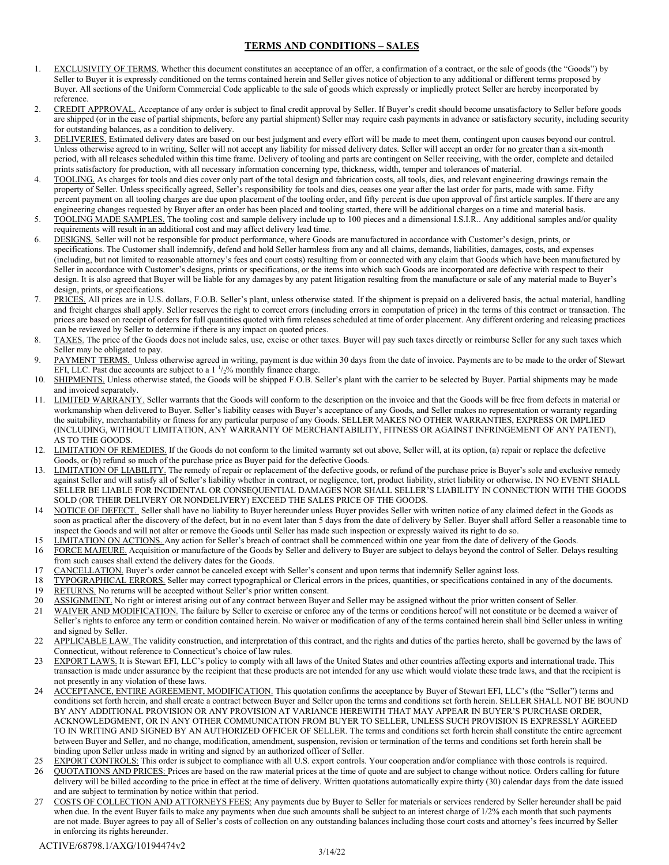## TERMS AND CONDITIONS – SALES

- 1. EXCLUSIVITY OF TERMS. Whether this document constitutes an acceptance of an offer, a confirmation of a contract, or the sale of goods (the "Goods") by Seller to Buyer it is expressly conditioned on the terms contained herein and Seller gives notice of objection to any additional or different terms proposed by Buyer. All sections of the Uniform Commercial Code applicable to the sale of goods which expressly or impliedly protect Seller are hereby incorporated by reference.
- 2. CREDIT APPROVAL. Acceptance of any order is subject to final credit approval by Seller. If Buyer's credit should become unsatisfactory to Seller before goods are shipped (or in the case of partial shipments, before any partial shipment) Seller may require cash payments in advance or satisfactory security, including security for outstanding balances, as a condition to delivery.
- 3. DELIVERIES. Estimated delivery dates are based on our best judgment and every effort will be made to meet them, contingent upon causes beyond our control. Unless otherwise agreed to in writing, Seller will not accept any liability for missed delivery dates. Seller will accept an order for no greater than a six-month period, with all releases scheduled within this time frame. Delivery of tooling and parts are contingent on Seller receiving, with the order, complete and detailed prints satisfactory for production, with all necessary information concerning type, thickness, width, temper and tolerances of material.
- 4. TOOLING. As charges for tools and dies cover only part of the total design and fabrication costs, all tools, dies, and relevant engineering drawings remain the property of Seller. Unless specifically agreed, Seller's responsibility for tools and dies, ceases one year after the last order for parts, made with same. Fifty percent payment on all tooling charges are due upon placement of the tooling order, and fifty percent is due upon approval of first article samples. If there are any engineering changes requested by Buyer after an order has been placed and tooling started, there will be additional charges on a time and material basis.
- 5. TOOLING MADE SAMPLES. The tooling cost and sample delivery include up to 100 pieces and a dimensional I.S.I.R.. Any additional samples and/or quality requirements will result in an additional cost and may affect delivery lead time.
- 6. DESIGNS. Seller will not be responsible for product performance, where Goods are manufactured in accordance with Customer's design, prints, or specifications. The Customer shall indemnify, defend and hold Seller harmless from any and all claims, demands, liabilities, damages, costs, and expenses (including, but not limited to reasonable attorney's fees and court costs) resulting from or connected with any claim that Goods which have been manufactured by Seller in accordance with Customer's designs, prints or specifications, or the items into which such Goods are incorporated are defective with respect to their design. It is also agreed that Buyer will be liable for any damages by any patent litigation resulting from the manufacture or sale of any material made to Buyer's design, prints, or specifications.
- 7. PRICES. All prices are in U.S. dollars, F.O.B. Seller's plant, unless otherwise stated. If the shipment is prepaid on a delivered basis, the actual material, handling and freight charges shall apply. Seller reserves the right to correct errors (including errors in computation of price) in the terms of this contract or transaction. The prices are based on receipt of orders for full quantities quoted with firm releases scheduled at time of order placement. Any different ordering and releasing practices can be reviewed by Seller to determine if there is any impact on quoted prices.
- TAXES. The price of the Goods does not include sales, use, excise or other taxes. Buyer will pay such taxes directly or reimburse Seller for any such taxes which Seller may be obligated to pay.
- 9. PAYMENT TERMS. Unless otherwise agreed in writing, payment is due within 30 days from the date of invoice. Payments are to be made to the order of Stewart EFI, LLC. Past due accounts are subject to a  $1\frac{1}{2}\%$  monthly finance charge.
- 10. SHIPMENTS. Unless otherwise stated, the Goods will be shipped F.O.B. Seller's plant with the carrier to be selected by Buyer. Partial shipments may be made and invoiced separately.
- 11. LIMITED WARRANTY. Seller warrants that the Goods will conform to the description on the invoice and that the Goods will be free from defects in material or workmanship when delivered to Buyer. Seller's liability ceases with Buyer's acceptance of any Goods, and Seller makes no representation or warranty regarding the suitability, merchantability or fitness for any particular purpose of any Goods. SELLER MAKES NO OTHER WARRANTIES, EXPRESS OR IMPLIED (INCLUDING, WITHOUT LIMITATION, ANY WARRANTY OF MERCHANTABILITY, FITNESS OR AGAINST INFRINGEMENT OF ANY PATENT), AS TO THE GOODS.
- 12. LIMITATION OF REMEDIES. If the Goods do not conform to the limited warranty set out above, Seller will, at its option, (a) repair or replace the defective Goods, or (b) refund so much of the purchase price as Buyer paid for the defective Goods.
- 13. LIMITATION OF LIABILITY. The remedy of repair or replacement of the defective goods, or refund of the purchase price is Buyer's sole and exclusive remedy against Seller and will satisfy all of Seller's liability whether in contract, or negligence, tort, product liability, strict liability or otherwise. IN NO EVENT SHALL SELLER BE LIABLE FOR INCIDENTAL OR CONSEQUENTIAL DAMAGES NOR SHALL SELLER'S LIABILITY IN CONNECTION WITH THE GOODS SOLD (OR THEIR DELIVERY OR NONDELIVERY) EXCEED THE SALES PRICE OF THE GOODS.
- 14 NOTICE OF DEFECT. Seller shall have no liability to Buyer hereunder unless Buyer provides Seller with written notice of any claimed defect in the Goods as soon as practical after the discovery of the defect, but in no event later than 5 days from the date of delivery by Seller. Buyer shall afford Seller a reasonable time to inspect the Goods and will not alter or remove the Goods until Seller has made such inspection or expressly waived its right to do so.
- 15 LIMITATION ON ACTIONS. Any action for Seller's breach of contract shall be commenced within one year from the date of delivery of the Goods.
- 16 FORCE MAJEURE. Acquisition or manufacture of the Goods by Seller and delivery to Buyer are subject to delays beyond the control of Seller. Delays resulting from such causes shall extend the delivery dates for the Goods.
- 17 CANCELLATION. Buyer's order cannot be canceled except with Seller's consent and upon terms that indemnify Seller against loss.
- 18 TYPOGRAPHICAL ERRORS. Seller may correct typographical or Clerical errors in the prices, quantities, or specifications contained in any of the documents.
- 19 RETURNS. No returns will be accepted without Seller's prior written consent.
- 20 ASSIGNMENT. No right or interest arising out of any contract between Buyer and Seller may be assigned without the prior written consent of Seller.<br>21 WAIVER AND MODIFICATION The failure by Seller to exercise or enforce
- WAIVER AND MODIFICATION. The failure by Seller to exercise or enforce any of the terms or conditions hereof will not constitute or be deemed a waiver of Seller's rights to enforce any term or condition contained herein. No waiver or modification of any of the terms contained herein shall bind Seller unless in writing and signed by Seller.
- 22 APPLICABLE LAW. The validity construction, and interpretation of this contract, and the rights and duties of the parties hereto, shall be governed by the laws of Connecticut, without reference to Connecticut's choice of law rules.
- 23 EXPORT LAWS. It is Stewart EFI, LLC's policy to comply with all laws of the United States and other countries affecting exports and international trade. This transaction is made under assurance by the recipient that these products are not intended for any use which would violate these trade laws, and that the recipient is not presently in any violation of these laws.
- 24 ACCEPTANCE, ENTIRE AGREEMENT, MODIFICATION. This quotation confirms the acceptance by Buyer of Stewart EFI, LLC's (the "Seller") terms and conditions set forth herein, and shall create a contract between Buyer and Seller upon the terms and conditions set forth herein. SELLER SHALL NOT BE BOUND BY ANY ADDITIONAL PROVISION OR ANY PROVISION AT VARIANCE HEREWITH THAT MAY APPEAR IN BUYER'S PURCHASE ORDER, ACKNOWLEDGMENT, OR IN ANY OTHER COMMUNICATION FROM BUYER TO SELLER, UNLESS SUCH PROVISION IS EXPRESSLY AGREED TO IN WRITING AND SIGNED BY AN AUTHORIZED OFFICER OF SELLER. The terms and conditions set forth herein shall constitute the entire agreement between Buyer and Seller, and no change, modification, amendment, suspension, revision or termination of the terms and conditions set forth herein shall be binding upon Seller unless made in writing and signed by an authorized officer of Seller.
- EXPORT CONTROLS: This order is subject to compliance with all U.S. export controls. Your cooperation and/or compliance with those controls is required.
- 26 QUOTATIONS AND PRICES: Prices are based on the raw material prices at the time of quote and are subject to change without notice. Orders calling for future delivery will be billed according to the price in effect at the time of delivery. Written quotations automatically expire thirty (30) calendar days from the date issued and are subject to termination by notice within that period.
- 27 COSTS OF COLLECTION AND ATTORNEYS FEES: Any payments due by Buyer to Seller for materials or services rendered by Seller hereunder shall be paid when due. In the event Buyer fails to make any payments when due such amounts shall be subject to an interest charge of 1/2% each month that such payments are not made. Buyer agrees to pay all of Seller's costs of collection on any outstanding balances including those court costs and attorney's fees incurred by Seller in enforcing its rights hereunder.